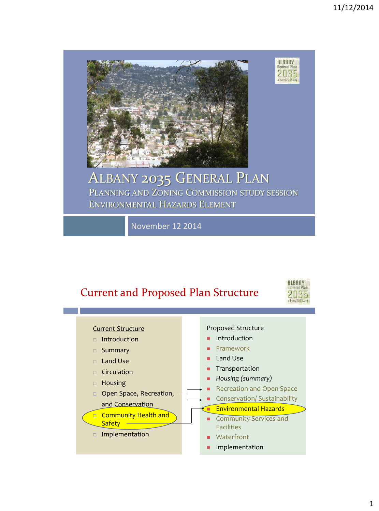

#### ALBANY 2035 GENERAL PLAN PLANNING AND ZONING COMMISSION STUDY SESSION ENVIRONMENTAL HAZARDS ELEMENT

November 12 2014

#### Current and Proposed Plan Structure



**ALBANY**<br>General Plan

2035 albany2035.org

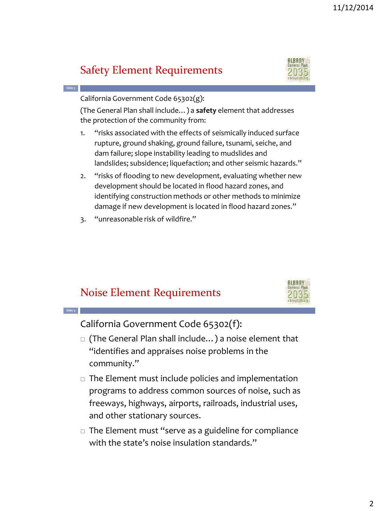#### 11/12/2014

#### Safety Element Requirements



California Government Code 65302(g):

**Slide 3**

**Slide 4**

(The General Plan shall include…) a **safety** element that addresses the protection of the community from:

- 1. "risks associated with the effects of seismically induced surface rupture, ground shaking, ground failure, tsunami, seiche, and dam failure; slope instability leading to mudslides and landslides; subsidence; liquefaction; and other seismic hazards."
- 2. "risks of flooding to new development, evaluating whether new development should be located in flood hazard zones, and identifying construction methods or other methods to minimize damage if new development is located in flood hazard zones."
- 3. "unreasonable risk of wildfire."

#### Noise Element Requirements



California Government Code 65302(f):

- □ (The General Plan shall include...) a noise element that "identifies and appraises noise problems in the community."
- $\Box$  The Element must include policies and implementation programs to address common sources of noise, such as freeways, highways, airports, railroads, industrial uses, and other stationary sources.
- $\Box$  The Element must "serve as a guideline for compliance with the state's noise insulation standards."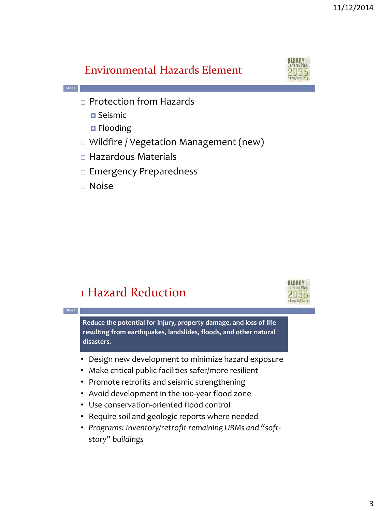#### Environmental Hazards Element



- □ Protection from Hazards
	- **D** Seismic

**Slide 5**

**Slide 6**

- **D** Flooding
- Wildfire / Vegetation Management (new)
- $\Box$  Hazardous Materials
- $\Box$  Emergency Preparedness
- Noise

### 1 Hazard Reduction



**Reduce the potential for injury, property damage, and loss of life resulting from earthquakes, landslides, floods, and other natural disasters.**

- Design new development to minimize hazard exposure
- Make critical public facilities safer/more resilient
- Promote retrofits and seismic strengthening
- Avoid development in the 100-year flood zone
- Use conservation-oriented flood control
- Require soil and geologic reports where needed
- *Programs: Inventory/retrofit remaining URMs and "softstory" buildings*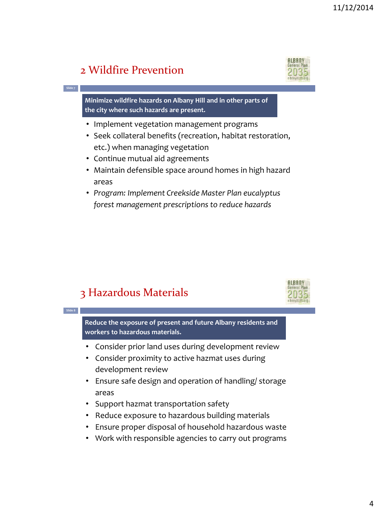#### 2 Wildfire Prevention

**Slide 7**

**Slide 8**



**Minimize wildfire hazards on Albany Hill and in other parts of the city where such hazards are present.** 

- Implement vegetation management programs
- Seek collateral benefits (recreation, habitat restoration, etc.) when managing vegetation
- Continue mutual aid agreements
- Maintain defensible space around homes in high hazard areas
- *Program: Implement Creekside Master Plan eucalyptus forest management prescriptions to reduce hazards*

#### 3 Hazardous Materials



**Reduce the exposure of present and future Albany residents and workers to hazardous materials.**

- Consider prior land uses during development review
- Consider proximity to active hazmat uses during development review
- Ensure safe design and operation of handling/ storage areas
- Support hazmat transportation safety
- Reduce exposure to hazardous building materials
- Ensure proper disposal of household hazardous waste
- Work with responsible agencies to carry out programs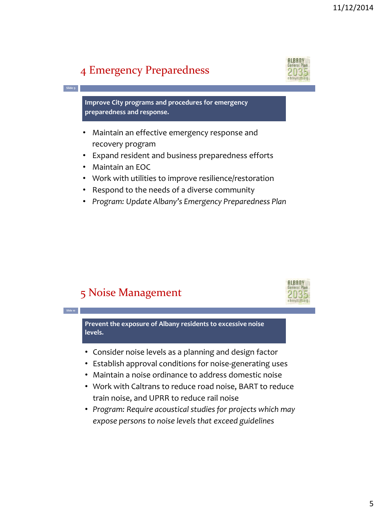#### 4 Emergency Preparedness



**Improve City programs and procedures for emergency preparedness and response.**

- Maintain an effective emergency response and recovery program
- Expand resident and business preparedness efforts
- Maintain an EOC

**Slide 9**

**Slide 10**

- Work with utilities to improve resilience/restoration
- Respond to the needs of a diverse community
- *Program: Update Albany's Emergency Preparedness Plan*

#### 5 Noise Management



**Prevent the exposure of Albany residents to excessive noise levels.**

- Consider noise levels as a planning and design factor
- Establish approval conditions for noise-generating uses
- Maintain a noise ordinance to address domestic noise
- Work with Caltrans to reduce road noise, BART to reduce train noise, and UPRR to reduce rail noise
- *Program: Require acoustical studies for projects which may expose persons to noise levels that exceed guidelines*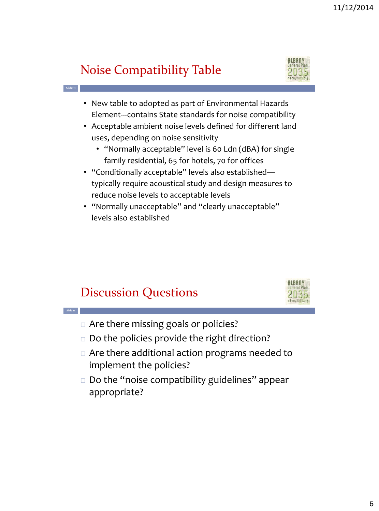## Noise Compatibility Table

**Slide 11**

**Slide 12**



- New table to adopted as part of Environmental Hazards Element---contains State standards for noise compatibility
- Acceptable ambient noise levels defined for different land uses, depending on noise sensitivity
	- "Normally acceptable" level is 60 Ldn (dBA) for single family residential, 65 for hotels, 70 for offices
- "Conditionally acceptable" levels also established typically require acoustical study and design measures to reduce noise levels to acceptable levels
- "Normally unacceptable" and "clearly unacceptable" levels also established

#### Discussion Questions



- □ Are there missing goals or policies?
- $\Box$  Do the policies provide the right direction?
- Are there additional action programs needed to implement the policies?
- $\Box$  Do the "noise compatibility guidelines" appear appropriate?